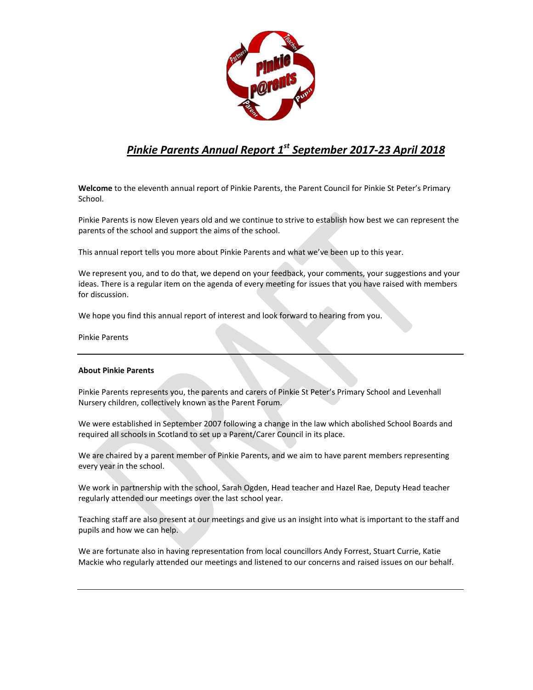

# *Pinkie Parents Annual Report 1 st September 2017-23 April 2018*

**Welcome** to the eleventh annual report of Pinkie Parents, the Parent Council for Pinkie St Peter's Primary School.

Pinkie Parents is now Eleven years old and we continue to strive to establish how best we can represent the parents of the school and support the aims of the school.

This annual report tells you more about Pinkie Parents and what we've been up to this year.

We represent you, and to do that, we depend on your feedback, your comments, your suggestions and your ideas. There is a regular item on the agenda of every meeting for issues that you have raised with members for discussion.

We hope you find this annual report of interest and look forward to hearing from you.

Pinkie Parents

# **About Pinkie Parents**

Pinkie Parents represents you, the parents and carers of Pinkie St Peter's Primary School and Levenhall Nursery children, collectively known as the Parent Forum.

We were established in September 2007 following a change in the law which abolished School Boards and required all schools in Scotland to set up a Parent/Carer Council in its place.

We are chaired by a parent member of Pinkie Parents, and we aim to have parent members representing every year in the school.

We work in partnership with the school, Sarah Ogden, Head teacher and Hazel Rae, Deputy Head teacher regularly attended our meetings over the last school year.

Teaching staff are also present at our meetings and give us an insight into what is important to the staff and pupils and how we can help.

We are fortunate also in having representation from local councillors Andy Forrest, Stuart Currie, Katie Mackie who regularly attended our meetings and listened to our concerns and raised issues on our behalf.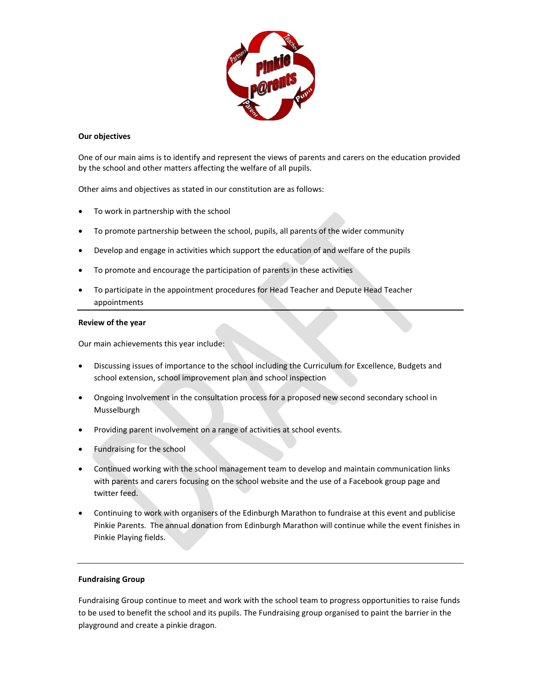

## **Our objectives**

One of our main aims is to identify and represent the views of parents and carers on the education provided by the school and other matters affecting the welfare of all pupils.

Other aims and objectives as stated in our constitution are as follows:

- To work in partnership with the school
- To promote partnership between the school, pupils, all parents of the wider community
- Develop and engage in activities which support the education of and welfare of the pupils
- To promote and encourage the participation of parents in these activities
- To participate in the appointment procedures for Head Teacher and Depute Head Teacher appointments

### **Review of the year**

Our main achievements this year include:

- Discussing issues of importance to the school including the Curriculum for Excellence, Budgets and school extension, school improvement plan and school inspection
- Ongoing Involvement in the consultation process for a proposed new second secondary school in Musselburgh
- Providing parent involvement on a range of activities at school events.
- Fundraising for the school
- Continued working with the school management team to develop and maintain communication links with parents and carers focusing on the school website and the use of a Facebook group page and twitter feed.
- Continuing to work with organisers of the Edinburgh Marathon to fundraise at this event and publicise Pinkie Parents. The annual donation from Edinburgh Marathon will continue while the event finishes in Pinkie Playing fields.

### **Fundraising Group**

Fundraising Group continue to meet and work with the school team to progress opportunities to raise funds to be used to benefit the school and its pupils. The Fundraising group organised to paint the barrier in the playground and create a pinkie dragon.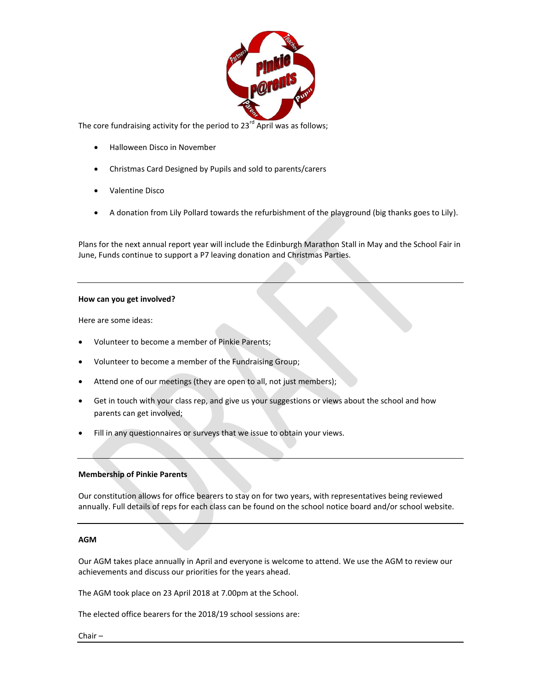

The core fundraising activity for the period to  $23<sup>rd</sup>$  April was as follows;

- Halloween Disco in November
- Christmas Card Designed by Pupils and sold to parents/carers
- Valentine Disco
- A donation from Lily Pollard towards the refurbishment of the playground (big thanks goes to Lily).

Plans for the next annual report year will include the Edinburgh Marathon Stall in May and the School Fair in June, Funds continue to support a P7 leaving donation and Christmas Parties.

### **How can you get involved?**

Here are some ideas:

- Volunteer to become a member of Pinkie Parents;
- Volunteer to become a member of the Fundraising Group;
- Attend one of our meetings (they are open to all, not just members);
- Get in touch with your class rep, and give us your suggestions or views about the school and how parents can get involved;
- Fill in any questionnaires or surveys that we issue to obtain your views.

# **Membership of Pinkie Parents**

Our constitution allows for office bearers to stay on for two years, with representatives being reviewed annually. Full details of reps for each class can be found on the school notice board and/or school website.

### **AGM**

Our AGM takes place annually in April and everyone is welcome to attend. We use the AGM to review our achievements and discuss our priorities for the years ahead.

The AGM took place on 23 April 2018 at 7.00pm at the School.

The elected office bearers for the 2018/19 school sessions are:

Chair –